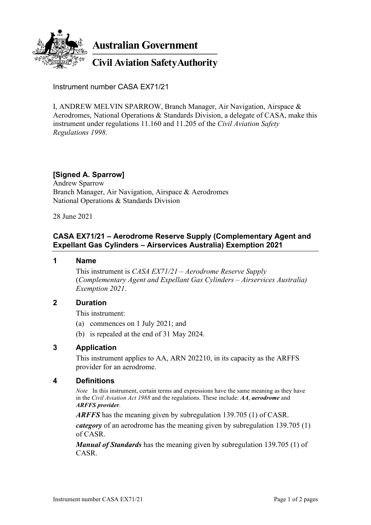

**Australian Government** 

**Civil Aviation Safety Authority** 

Instrument number CASA EX71/21

I, ANDREW MELVIN SPARROW, Branch Manager, Air Navigation, Airspace & Aerodromes, National Operations & Standards Division, a delegate of CASA, make this instrument under regulations 11.160 and 11.205 of the *Civil Aviation Safety Regulations 1998*.

# **[Signed A. Sparrow]**

Andrew Sparrow Branch Manager, Air Navigation, Airspace & Aerodromes National Operations & Standards Division

28 June 2021

## **CASA EX71/21 – Aerodrome Reserve Supply (Complementary Agent and Expellant Gas Cylinders – Airservices Australia) Exemption 2021**

#### **1 Name**

This instrument is *CASA EX71/21 – Aerodrome Reserve Supply* (*Complementary Agent and Expellant Gas Cylinders – Airservices Australia) Exemption 2021*.

## **2 Duration**

This instrument:

- (a) commences on 1 July 2021; and
- (b) is repealed at the end of 31 May 2024.

## **3 Application**

This instrument applies to AA, ARN 202210, in its capacity as the ARFFS provider for an aerodrome.

#### **4 Definitions**

*Note* In this instrument, certain terms and expressions have the same meaning as they have in the *Civil Aviation Act 1988* and the regulations. These include: *AA*, *aerodrome* and *ARFFS provider*.

*ARFFS* has the meaning given by subregulation 139.705 (1) of CASR.

*category* of an aerodrome has the meaning given by subregulation 139.705 (1) of CASR.

*Manual of Standards* has the meaning given by subregulation 139.705 (1) of CASR.